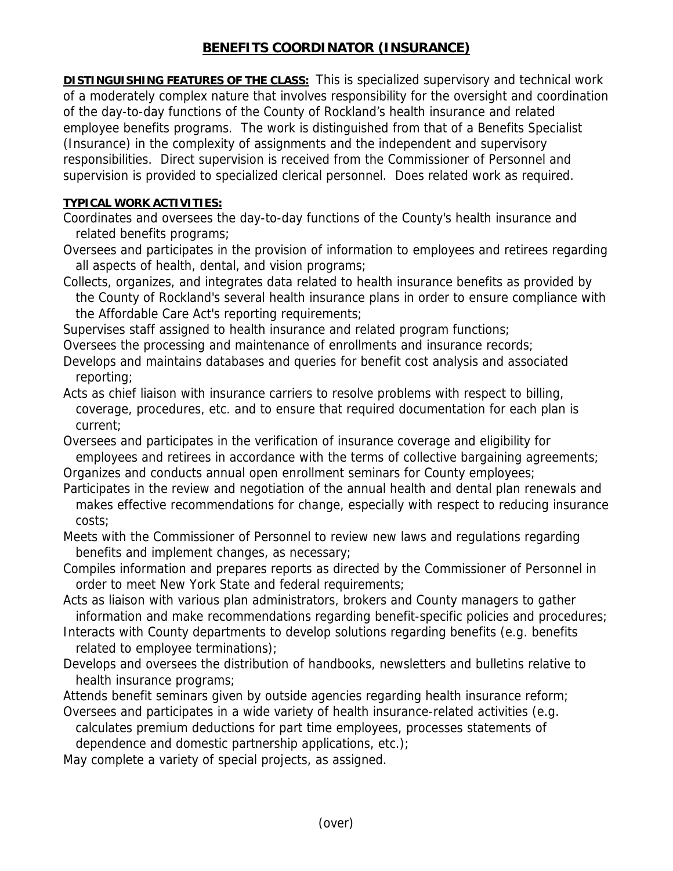## **BENEFITS COORDINATOR (INSURANCE)**

**DISTINGUISHING FEATURES OF THE CLASS:** This is specialized supervisory and technical work of a moderately complex nature that involves responsibility for the oversight and coordination of the day-to-day functions of the County of Rockland's health insurance and related employee benefits programs. The work is distinguished from that of a Benefits Specialist (Insurance) in the complexity of assignments and the independent and supervisory responsibilities. Direct supervision is received from the Commissioner of Personnel and supervision is provided to specialized clerical personnel. Does related work as required.

## **TYPICAL WORK ACTIVITIES:**

Coordinates and oversees the day-to-day functions of the County's health insurance and related benefits programs;

Oversees and participates in the provision of information to employees and retirees regarding all aspects of health, dental, and vision programs;

Collects, organizes, and integrates data related to health insurance benefits as provided by the County of Rockland's several health insurance plans in order to ensure compliance with the Affordable Care Act's reporting requirements;

Supervises staff assigned to health insurance and related program functions;

Oversees the processing and maintenance of enrollments and insurance records;

Develops and maintains databases and queries for benefit cost analysis and associated reporting;

Acts as chief liaison with insurance carriers to resolve problems with respect to billing, coverage, procedures, etc. and to ensure that required documentation for each plan is current;

Oversees and participates in the verification of insurance coverage and eligibility for employees and retirees in accordance with the terms of collective bargaining agreements;

Organizes and conducts annual open enrollment seminars for County employees;

Participates in the review and negotiation of the annual health and dental plan renewals and makes effective recommendations for change, especially with respect to reducing insurance costs;

Meets with the Commissioner of Personnel to review new laws and regulations regarding benefits and implement changes, as necessary;

Compiles information and prepares reports as directed by the Commissioner of Personnel in order to meet New York State and federal requirements;

Acts as liaison with various plan administrators, brokers and County managers to gather information and make recommendations regarding benefit-specific policies and procedures;

- Interacts with County departments to develop solutions regarding benefits (e.g. benefits related to employee terminations);
- Develops and oversees the distribution of handbooks, newsletters and bulletins relative to health insurance programs;

Attends benefit seminars given by outside agencies regarding health insurance reform;

Oversees and participates in a wide variety of health insurance-related activities (e.g. calculates premium deductions for part time employees, processes statements of dependence and domestic partnership applications, etc.);

May complete a variety of special projects, as assigned.